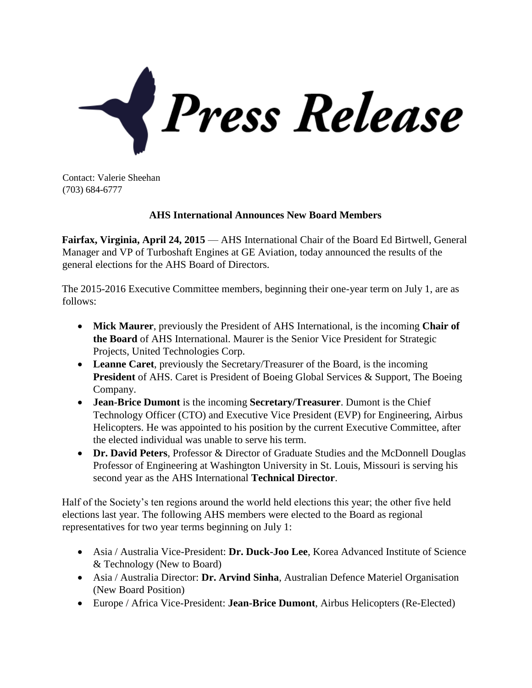

Contact: Valerie Sheehan (703) 684-6777

## **AHS International Announces New Board Members**

**Fairfax, Virginia, April 24, 2015** — AHS International Chair of the Board Ed Birtwell, General Manager and VP of Turboshaft Engines at GE Aviation, today announced the results of the general elections for the AHS Board of Directors.

The 2015-2016 Executive Committee members, beginning their one-year term on July 1, are as follows:

- **Mick Maurer**, previously the President of AHS International, is the incoming **Chair of the Board** of AHS International. Maurer is the Senior Vice President for Strategic Projects, United Technologies Corp.
- **Leanne Caret**, previously the Secretary/Treasurer of the Board, is the incoming **President** of AHS. Caret is President of Boeing Global Services & Support, The Boeing Company.
- **Jean-Brice Dumont** is the incoming **Secretary/Treasurer**. Dumont is the Chief Technology Officer (CTO) and Executive Vice President (EVP) for Engineering, Airbus Helicopters. He was appointed to his position by the current Executive Committee, after the elected individual was unable to serve his term.
- **Dr. David Peters**, Professor & Director of Graduate Studies and the McDonnell Douglas Professor of Engineering at Washington University in St. Louis, Missouri is serving his second year as the AHS International **Technical Director**.

Half of the Society's ten regions around the world held elections this year; the other five held elections last year. The following AHS members were elected to the Board as regional representatives for two year terms beginning on July 1:

- Asia / Australia Vice-President: **Dr. Duck-Joo Lee**, Korea Advanced Institute of Science & Technology (New to Board)
- Asia / Australia Director: **Dr. Arvind Sinha**, Australian Defence Materiel Organisation (New Board Position)
- Europe / Africa Vice-President: **Jean-Brice Dumont**, Airbus Helicopters (Re-Elected)